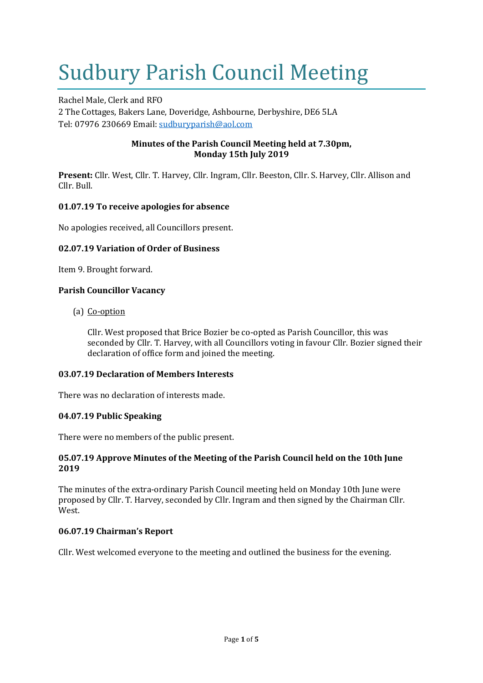# Sudbury Parish Council Meeting

Rachel Male, Clerk and RFO 2 The Cottages, Bakers Lane, Doveridge, Ashbourne, Derbyshire, DE6 5LA Tel: 07976 230669 Email: [sudburyparish@aol.com](mailto:sudburyparish@aol.com)

# **Minutes of the Parish Council Meeting held at 7.30pm, Monday 15th July 2019**

**Present:** Cllr. West, Cllr. T. Harvey, Cllr. Ingram, Cllr. Beeston, Cllr. S. Harvey, Cllr. Allison and Cllr. Bull.

# **01.07.19 To receive apologies for absence**

No apologies received, all Councillors present.

# **02.07.19 Variation of Order of Business**

Item 9. Brought forward.

# **Parish Councillor Vacancy**

(a) Co-option

Cllr. West proposed that Brice Bozier be co-opted as Parish Councillor, this was seconded by Cllr. T. Harvey, with all Councillors voting in favour Cllr. Bozier signed their declaration of office form and joined the meeting.

## **03.07.19 Declaration of Members Interests**

There was no declaration of interests made.

## **04.07.19 Public Speaking**

There were no members of the public present.

# **05.07.19 Approve Minutes of the Meeting of the Parish Council held on the 10th June 2019**

The minutes of the extra-ordinary Parish Council meeting held on Monday 10th June were proposed by Cllr. T. Harvey, seconded by Cllr. Ingram and then signed by the Chairman Cllr. West.

# **06.07.19 Chairman's Report**

Cllr. West welcomed everyone to the meeting and outlined the business for the evening.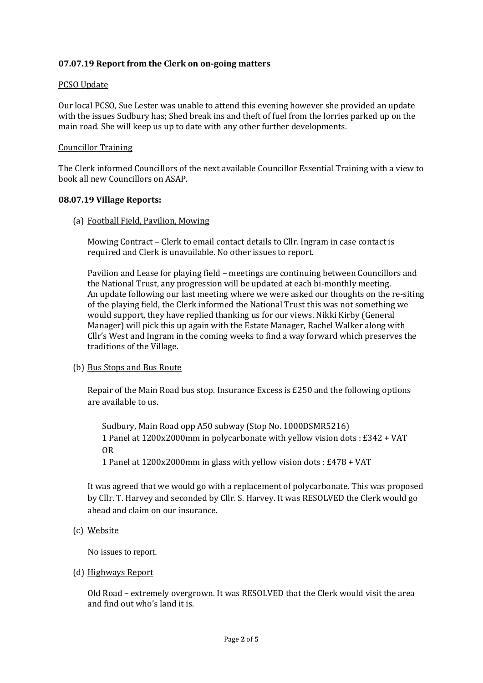## **07.07.19 Report from the Clerk on on-going matters**

#### PCSO Update

Our local PCSO, Sue Lester was unable to attend this evening however she provided an update with the issues Sudbury has; Shed break ins and theft of fuel from the lorries parked up on the main road. She will keep us up to date with any other further developments.

#### Councillor Training

The Clerk informed Councillors of the next available Councillor Essential Training with a view to book all new Councillors on ASAP.

#### **08.07.19 Village Reports:**

(a) Football Field, Pavilion, Mowing

Mowing Contract – Clerk to email contact details to Cllr. Ingram in case contact is required and Clerk is unavailable. No other issues to report.

Pavilion and Lease for playing field – meetings are continuing between Councillors and the National Trust, any progression will be updated at each bi-monthly meeting. An update following our last meeting where we were asked our thoughts on the re-siting of the playing field, the Clerk informed the National Trust this was not something we would support, they have replied thanking us for our views. Nikki Kirby (General Manager) will pick this up again with the Estate Manager, Rachel Walker along with Cllr's West and Ingram in the coming weeks to find a way forward which preserves the traditions of the Village.

## (b) Bus Stops and Bus Route

Repair of the Main Road bus stop. Insurance Excess is £250 and the following options are available to us.

Sudbury, Main Road opp A50 subway (Stop No. 1000DSMR5216) 1 Panel at 1200x2000mm in polycarbonate with yellow vision dots : £342 + VAT OR

1 Panel at 1200x2000mm in glass with yellow vision dots : £478 + VAT

It was agreed that we would go with a replacement of polycarbonate. This was proposed by Cllr. T. Harvey and seconded by Cllr. S. Harvey. It was RESOLVED the Clerk would go ahead and claim on our insurance.

(c) Website

No issues to report.

(d) Highways Report

Old Road – extremely overgrown. It was RESOLVED that the Clerk would visit the area and find out who's land it is.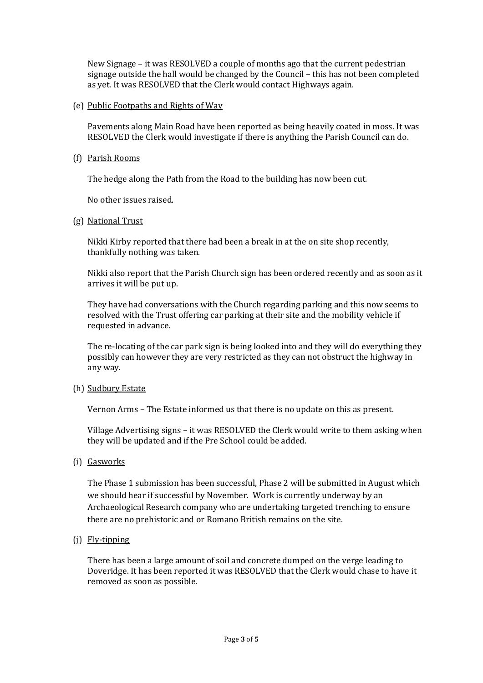New Signage – it was RESOLVED a couple of months ago that the current pedestrian signage outside the hall would be changed by the Council – this has not been completed as yet. It was RESOLVED that the Clerk would contact Highways again.

(e) Public Footpaths and Rights of Way

Pavements along Main Road have been reported as being heavily coated in moss. It was RESOLVED the Clerk would investigate if there is anything the Parish Council can do.

(f) Parish Rooms

The hedge along the Path from the Road to the building has now been cut.

No other issues raised.

(g) National Trust

Nikki Kirby reported that there had been a break in at the on site shop recently, thankfully nothing was taken.

Nikki also report that the Parish Church sign has been ordered recently and as soon as it arrives it will be put up.

They have had conversations with the Church regarding parking and this now seems to resolved with the Trust offering car parking at their site and the mobility vehicle if requested in advance.

The re-locating of the car park sign is being looked into and they will do everything they possibly can however they are very restricted as they can not obstruct the highway in any way.

(h) Sudbury Estate

Vernon Arms – The Estate informed us that there is no update on this as present.

Village Advertising signs – it was RESOLVED the Clerk would write to them asking when they will be updated and if the Pre School could be added.

(i) Gasworks

The Phase 1 submission has been successful, Phase 2 will be submitted in August which we should hear if successful by November. Work is currently underway by an Archaeological Research company who are undertaking targeted trenching to ensure there are no prehistoric and or Romano British remains on the site.

(j) Fly-tipping

There has been a large amount of soil and concrete dumped on the verge leading to Doveridge. It has been reported it was RESOLVED that the Clerk would chase to have it removed as soon as possible.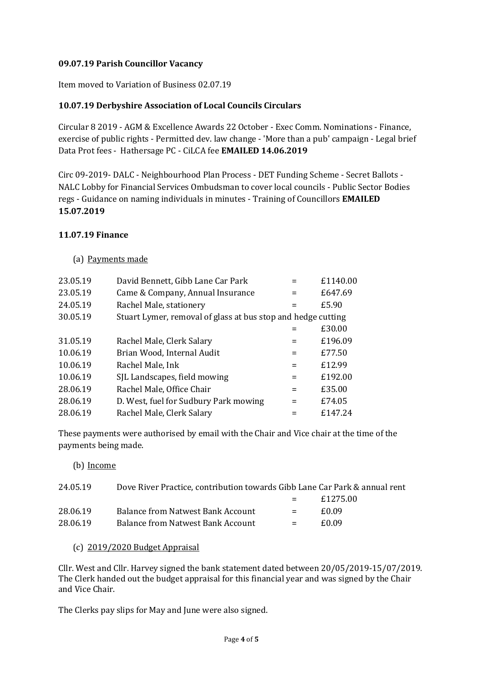# **09.07.19 Parish Councillor Vacancy**

Item moved to Variation of Business 02.07.19

# **10.07.19 Derbyshire Association of Local Councils Circulars**

Circular 8 2019 - AGM & Excellence Awards 22 October - Exec Comm. Nominations - Finance, exercise of public rights - Permitted dev. law change - 'More than a pub' campaign - Legal brief Data Prot fees - Hathersage PC - CiLCA fee **EMAILED 14.06.2019**

Circ 09-2019- DALC - Neighbourhood Plan Process - DET Funding Scheme - Secret Ballots - NALC Lobby for Financial Services Ombudsman to cover local councils - Public Sector Bodies regs - Guidance on naming individuals in minutes - Training of Councillors **EMAILED 15.07.2019**

## **11.07.19 Finance**

# (a) Payments made

| 23.05.19 | David Bennett, Gibb Lane Car Park                            |     | £1140.00 |
|----------|--------------------------------------------------------------|-----|----------|
| 23.05.19 | Came & Company, Annual Insurance                             | $=$ | £647.69  |
| 24.05.19 | Rachel Male, stationery                                      | $=$ | £5.90    |
| 30.05.19 | Stuart Lymer, removal of glass at bus stop and hedge cutting |     |          |
|          |                                                              |     | £30.00   |
| 31.05.19 | Rachel Male, Clerk Salary                                    | $=$ | £196.09  |
| 10.06.19 | Brian Wood, Internal Audit                                   | $=$ | £77.50   |
| 10.06.19 | Rachel Male, Ink                                             | $=$ | £12.99   |
| 10.06.19 | SJL Landscapes, field mowing                                 | $=$ | £192.00  |
| 28.06.19 | Rachel Male, Office Chair                                    | $=$ | £35.00   |
| 28.06.19 | D. West, fuel for Sudbury Park mowing                        | $=$ | £74.05   |
| 28.06.19 | Rachel Male, Clerk Salary                                    |     | £147.24  |
|          |                                                              |     |          |

These payments were authorised by email with the Chair and Vice chair at the time of the payments being made.

(b) Income

| 24.05.19 | Dove River Practice, contribution towards Gibb Lane Car Park & annual rent |     |          |
|----------|----------------------------------------------------------------------------|-----|----------|
|          |                                                                            | $=$ | £1275.00 |
| 28.06.19 | <b>Balance from Natwest Bank Account</b>                                   | $=$ | £0.09    |
| 28.06.19 | Balance from Natwest Bank Account                                          | $=$ | £0.09    |

## (c) 2019/2020 Budget Appraisal

Cllr. West and Cllr. Harvey signed the bank statement dated between 20/05/2019-15/07/2019. The Clerk handed out the budget appraisal for this financial year and was signed by the Chair and Vice Chair.

The Clerks pay slips for May and June were also signed.